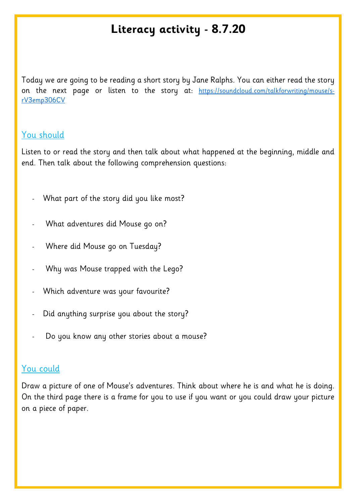## **Literacy activity - 8.7.20**

Today we are going to be reading a short story by Jane Ralphs. You can either read the story on the next page or listen to the story at: [https://soundcloud.com/talkforwriting/mouse/s](https://soundcloud.com/talkforwriting/mouse/s-rV3emp306CV)[rV3emp306CV](https://soundcloud.com/talkforwriting/mouse/s-rV3emp306CV)

## You should

Listen to or read the story and then talk about what happened at the beginning, middle and end. Then talk about the following comprehension questions:

- What part of the story did you like most?
- What adventures did Mouse go on?
- Where did Mouse go on Tuesday?
- Why was Mouse trapped with the Lego?
- Which adventure was your favourite?
- Did anything surprise you about the story?
- Do you know any other stories about a mouse?

## You could

Draw a picture of one of Mouse's adventures. Think about where he is and what he is doing. On the third page there is a frame for you to use if you want or you could draw your picture on a piece of paper.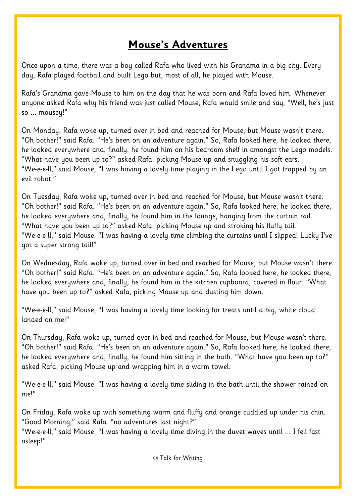## **Mouse's Adventures**

Once upon a time, there was a boy called Rafa who lived with his Grandma in a big city. Every day, Rafa played football and built Lego but, most of all, he played with Mouse.

Rafa's Grandma gave Mouse to him on the day that he was born and Rafa loved him. Whenever anyone asked Rafa why his friend was just called Mouse, Rafa would smile and say, "Well, he's just so ... mousey!"

On Monday, Rafa woke up, turned over in bed and reached for Mouse, but Mouse wasn't there. "Oh bother!" said Rafa. "He's been on an adventure again." So, Rafa looked here, he looked there, he looked everywhere and, finally, he found him on his bedroom shelf in amongst the Lego models. "What have you been up to?" asked Rafa, picking Mouse up and snuggling his soft ears. "We-e-e-ll," said Mouse, "I was having a lovely time playing in the Lego until I got trapped by an evil robot!"

On Tuesday, Rafa woke up, turned over in bed and reached for Mouse, but Mouse wasn't there. "Oh bother!" said Rafa. "He's been on an adventure again." So, Rafa looked here, he looked there, he looked everywhere and, finally, he found him in the lounge, hanging from the curtain rail. "What have you been up to?" asked Rafa, picking Mouse up and stroking his fluffy tail. "We-e-e-ll," said Mouse, "I was having a lovely time climbing the curtains until I slipped! Lucky I've got a super strong tail!"

On Wednesday, Rafa woke up, turned over in bed and reached for Mouse, but Mouse wasn't there. "Oh bother!" said Rafa. "He's been on an adventure again." So, Rafa looked here, he looked there, he looked everywhere and, finally, he found him in the kitchen cupboard, covered in flour. "What have you been up to?" asked Rafa, picking Mouse up and dusting him down.

"We-e-e-ll," said Mouse, "I was having a lovely time looking for treats until a big, white cloud landed on me!"

On Thursday, Rafa woke up, turned over in bed and reached for Mouse, but Mouse wasn't there. "Oh bother!" said Rafa. "He's been on an adventure again." So, Rafa looked here, he looked there, he looked everywhere and, finally, he found him sitting in the bath. "What have you been up to?" asked Rafa, picking Mouse up and wrapping him in a warm towel.

"We-e-e-ll," said Mouse, "I was having a lovely time sliding in the bath until the shower rained on me!"

On Friday, Rafa woke up with something warm and fluffy and orange cuddled up under his chin. "Good Morning," said Rafa. "no adventures last night?"

"We-e-e-ll," said Mouse, "I was having a lovely time diving in the duvet waves until ... I fell fast asleep!"

© Talk for Writing